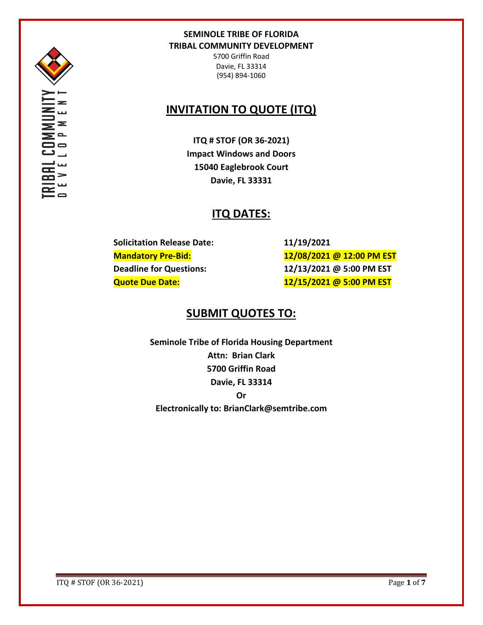

' ≂  $=$   $\overline{\phantom{0}}$ 

5700 Griffin Road Davie, FL 33314 (954) 894-1060

# **INVITATION TO QUOTE (ITQ)**

**ITQ # STOF (OR 36-2021) Impact Windows and Doors 15040 Eaglebrook Court Davie, FL 33331**

# **ITQ DATES:**

**Solicitation Release Date: 11/19/2021**

**Mandatory Pre-Bid: 12/08/2021 @ 12:00 PM EST Deadline for Questions: 12/13/2021 @ 5:00 PM EST Quote Due Date: 12/15/2021 @ 5:00 PM EST**

# **SUBMIT QUOTES TO:**

**Seminole Tribe of Florida Housing Department Attn: Brian Clark 5700 Griffin Road Davie, FL 33314 Or Electronically to: BrianClark@semtribe.com** 

ITQ # STOF (OR 36-2021) Page **1** of **7**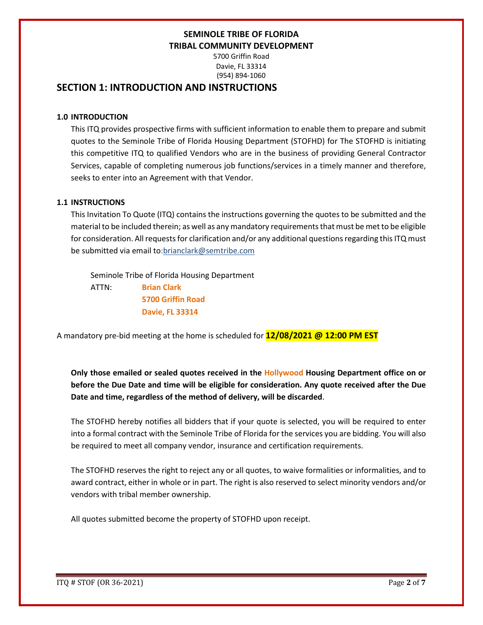5700 Griffin Road Davie, FL 33314 (954) 894-1060

## **SECTION 1: INTRODUCTION AND INSTRUCTIONS**

### **1.0 INTRODUCTION**

This ITQ provides prospective firms with sufficient information to enable them to prepare and submit quotes to the Seminole Tribe of Florida Housing Department (STOFHD) for The STOFHD is initiating this competitive ITQ to qualified Vendors who are in the business of providing General Contractor Services, capable of completing numerous job functions/services in a timely manner and therefore, seeks to enter into an Agreement with that Vendor.

### **1.1 INSTRUCTIONS**

This Invitation To Quote (ITQ) contains the instructions governing the quotes to be submitted and the material to be included therein; as well as any mandatory requirements that must be met to be eligible for consideration. All requests for clarification and/or any additional questions regarding this ITQ must be submitted via email to:brianclark@semtribe.com

 Seminole Tribe of Florida Housing Department ATTN: **Brian Clark 5700 Griffin Road Davie, FL 33314**

A mandatory pre-bid meeting at the home is scheduled for **12/08/2021 @ 12:00 PM EST**

**Only those emailed or sealed quotes received in the Hollywood Housing Department office on or before the Due Date and time will be eligible for consideration. Any quote received after the Due Date and time, regardless of the method of delivery, will be discarded**.

The STOFHD hereby notifies all bidders that if your quote is selected, you will be required to enter into a formal contract with the Seminole Tribe of Florida for the services you are bidding. You will also be required to meet all company vendor, insurance and certification requirements.

The STOFHD reserves the right to reject any or all quotes, to waive formalities or informalities, and to award contract, either in whole or in part. The right is also reserved to select minority vendors and/or vendors with tribal member ownership.

All quotes submitted become the property of STOFHD upon receipt.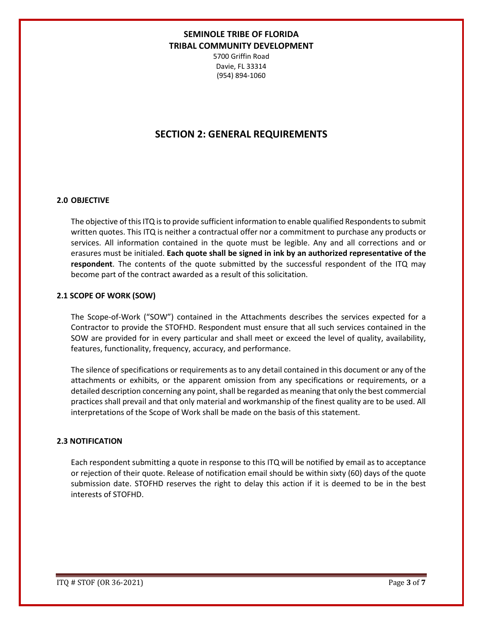5700 Griffin Road Davie, FL 33314 (954) 894-1060

## **SECTION 2: GENERAL REQUIREMENTS**

#### **2.0 OBJECTIVE**

The objective of this ITQ is to provide sufficient information to enable qualified Respondents to submit written quotes. This ITQ is neither a contractual offer nor a commitment to purchase any products or services. All information contained in the quote must be legible. Any and all corrections and or erasures must be initialed. **Each quote shall be signed in ink by an authorized representative of the respondent**. The contents of the quote submitted by the successful respondent of the ITQ may become part of the contract awarded as a result of this solicitation.

#### **2.1 SCOPE OF WORK (SOW)**

The Scope-of-Work ("SOW") contained in the Attachments describes the services expected for a Contractor to provide the STOFHD. Respondent must ensure that all such services contained in the SOW are provided for in every particular and shall meet or exceed the level of quality, availability, features, functionality, frequency, accuracy, and performance.

The silence of specifications or requirements as to any detail contained in this document or any of the attachments or exhibits, or the apparent omission from any specifications or requirements, or a detailed description concerning any point, shall be regarded as meaning that only the best commercial practices shall prevail and that only material and workmanship of the finest quality are to be used. All interpretations of the Scope of Work shall be made on the basis of this statement.

#### **2.3 NOTIFICATION**

Each respondent submitting a quote in response to this ITQ will be notified by email as to acceptance or rejection of their quote. Release of notification email should be within sixty (60) days of the quote submission date. STOFHD reserves the right to delay this action if it is deemed to be in the best interests of STOFHD.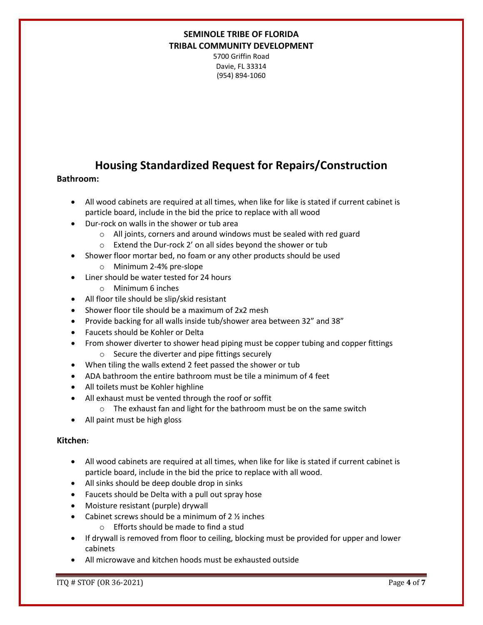5700 Griffin Road Davie, FL 33314 (954) 894-1060

# **Housing Standardized Request for Repairs/Construction**

### **Bathroom:**

- All wood cabinets are required at all times, when like for like is stated if current cabinet is particle board, include in the bid the price to replace with all wood
- Dur-rock on walls in the shower or tub area
	- o All joints, corners and around windows must be sealed with red guard
	- o Extend the Dur-rock 2' on all sides beyond the shower or tub
- Shower floor mortar bed, no foam or any other products should be used
	- o Minimum 2-4% pre-slope
- Liner should be water tested for 24 hours
	- o Minimum 6 inches
- All floor tile should be slip/skid resistant
- Shower floor tile should be a maximum of 2x2 mesh
- Provide backing for all walls inside tub/shower area between 32" and 38"
- Faucets should be Kohler or Delta
- From shower diverter to shower head piping must be copper tubing and copper fittings o Secure the diverter and pipe fittings securely
- When tiling the walls extend 2 feet passed the shower or tub
- ADA bathroom the entire bathroom must be tile a minimum of 4 feet
- All toilets must be Kohler highline
- All exhaust must be vented through the roof or soffit
	- o The exhaust fan and light for the bathroom must be on the same switch
- All paint must be high gloss

### **Kitchen:**

- All wood cabinets are required at all times, when like for like is stated if current cabinet is particle board, include in the bid the price to replace with all wood.
- All sinks should be deep double drop in sinks
- Faucets should be Delta with a pull out spray hose
- Moisture resistant (purple) drywall
- Cabinet screws should be a minimum of 2 ½ inches
	- o Efforts should be made to find a stud
- If drywall is removed from floor to ceiling, blocking must be provided for upper and lower cabinets
- All microwave and kitchen hoods must be exhausted outside

ITQ # STOF (OR 36-2021) Page **4** of **7**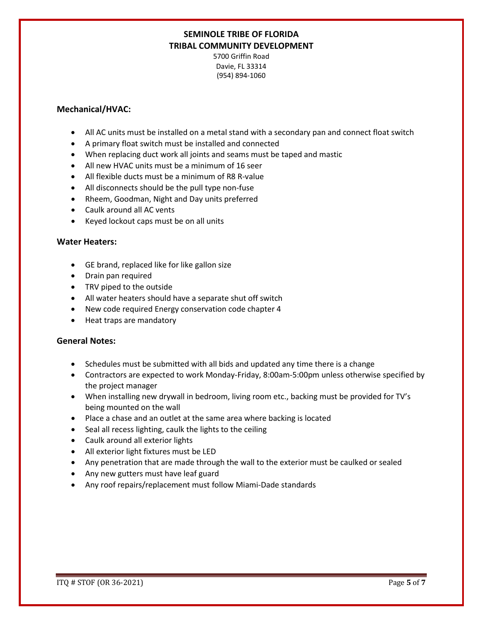5700 Griffin Road Davie, FL 33314 (954) 894-1060

### **Mechanical/HVAC:**

- All AC units must be installed on a metal stand with a secondary pan and connect float switch
- A primary float switch must be installed and connected
- When replacing duct work all joints and seams must be taped and mastic
- All new HVAC units must be a minimum of 16 seer
- All flexible ducts must be a minimum of R8 R-value
- All disconnects should be the pull type non-fuse
- Rheem, Goodman, Night and Day units preferred
- Caulk around all AC vents
- Keyed lockout caps must be on all units

#### **Water Heaters:**

- GE brand, replaced like for like gallon size
- Drain pan required
- TRV piped to the outside
- All water heaters should have a separate shut off switch
- New code required Energy conservation code chapter 4
- Heat traps are mandatory

#### **General Notes:**

- Schedules must be submitted with all bids and updated any time there is a change
- Contractors are expected to work Monday-Friday, 8:00am-5:00pm unless otherwise specified by the project manager
- When installing new drywall in bedroom, living room etc., backing must be provided for TV's being mounted on the wall
- Place a chase and an outlet at the same area where backing is located
- Seal all recess lighting, caulk the lights to the ceiling
- Caulk around all exterior lights
- All exterior light fixtures must be LED
- Any penetration that are made through the wall to the exterior must be caulked or sealed
- Any new gutters must have leaf guard
- Any roof repairs/replacement must follow Miami-Dade standards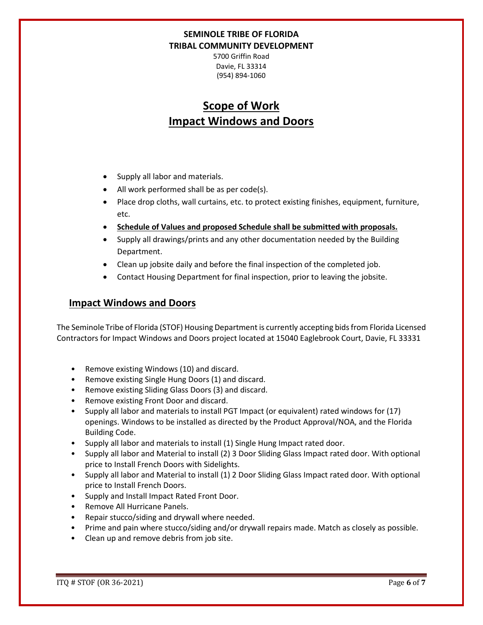5700 Griffin Road Davie, FL 33314 (954) 894-1060

# **Scope of Work Impact Windows and Doors**

- Supply all labor and materials.
- All work performed shall be as per code(s).
- Place drop cloths, wall curtains, etc. to protect existing finishes, equipment, furniture, etc.
- **Schedule of Values and proposed Schedule shall be submitted with proposals.**
- Supply all drawings/prints and any other documentation needed by the Building Department.
- Clean up jobsite daily and before the final inspection of the completed job.
- Contact Housing Department for final inspection, prior to leaving the jobsite.

## **Impact Windows and Doors**

The Seminole Tribe of Florida (STOF) Housing Department is currently accepting bids from Florida Licensed Contractors for Impact Windows and Doors project located at 15040 Eaglebrook Court, Davie, FL 33331

- Remove existing Windows (10) and discard.
- Remove existing Single Hung Doors (1) and discard.
- Remove existing Sliding Glass Doors (3) and discard.
- Remove existing Front Door and discard.
- Supply all labor and materials to install PGT Impact (or equivalent) rated windows for (17) openings. Windows to be installed as directed by the Product Approval/NOA, and the Florida Building Code.
- Supply all labor and materials to install (1) Single Hung Impact rated door.
- Supply all labor and Material to install (2) 3 Door Sliding Glass Impact rated door. With optional price to Install French Doors with Sidelights.
- Supply all labor and Material to install (1) 2 Door Sliding Glass Impact rated door. With optional price to Install French Doors.
- Supply and Install Impact Rated Front Door.
- Remove All Hurricane Panels.
- Repair stucco/siding and drywall where needed.
- Prime and pain where stucco/siding and/or drywall repairs made. Match as closely as possible.
- Clean up and remove debris from job site.